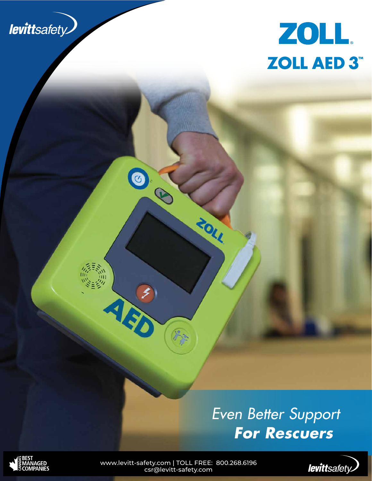



# *Even Better Support For Rescuers*



www.levitt-safety.com | TOLL FREE: 800.268.6196 csr@levitt-safety.com

08

À

ZOLL

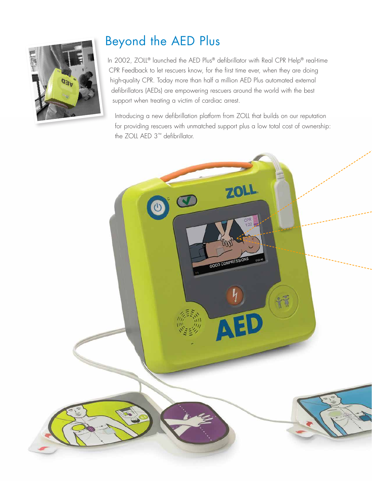

# Beyond the AED Plus

In 2002, ZOLL® launched the AED Plus® defibrillator with Real CPR Help® real-time CPR Feedback to let rescuers know, for the first time ever, when they are doing high-quality CPR. Today more than half a million AED Plus automated external defibrillators (AEDs) are empowering rescuers around the world with the best support when treating a victim of cardiac arrest.

Introducing a new defibrillation platform from ZOLL that builds on our reputation for providing rescuers with unmatched support plus a low total cost of ownership: the ZOLL AED 3™ defibrillator.

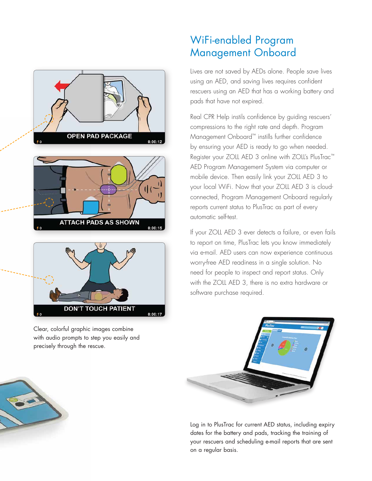



Clear, colorful graphic images combine with audio prompts to step you easily and precisely through the rescue.

### WiFi-enabled Program Management Onboard

Lives are not saved by AEDs alone. People save lives using an AED, and saving lives requires confident rescuers using an AED that has a working battery and pads that have not expired.

Real CPR Help instils confidence by guiding rescuers' compressions to the right rate and depth. Program Management Onboard™ instills further confidence by ensuring your AED is ready to go when needed. Register your ZOLL AED 3 online with ZOLL's PlusTrac™ AED Program Management System via computer or mobile device. Then easily link your ZOLL AED 3 to your local WiFi. Now that your ZOLL AED 3 is cloudconnected, Program Management Onboard regularly reports current status to PlusTrac as part of every automatic self-test.

If your ZOLL AED 3 ever detects a failure, or even fails to report on time, PlusTrac lets you know immediately via e-mail. AED users can now experience continuous worry-free AED readiness in a single solution. No need for people to inspect and report status. Only with the ZOLL AED 3, there is no extra hardware or software purchase required.



Log in to PlusTrac for current AED status, including expiry dates for the battery and pads, tracking the training of your rescuers and scheduling e-mail reports that are sent on a regular basis.

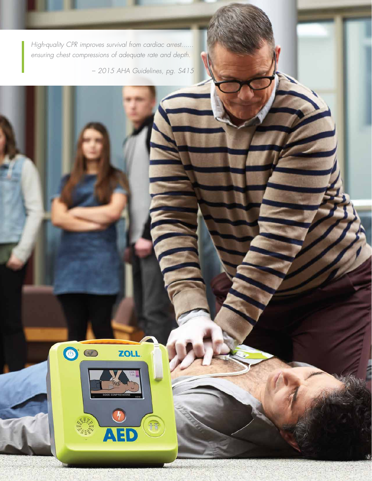*High-quality CPR improves survival from cardiac arrest...... ensuring chest compressions of adequate rate and depth.*

 $\bullet$ 

ZOLL.

 $\blacktriangle$ 

– *2015 AHA Guidelines, pg. S415*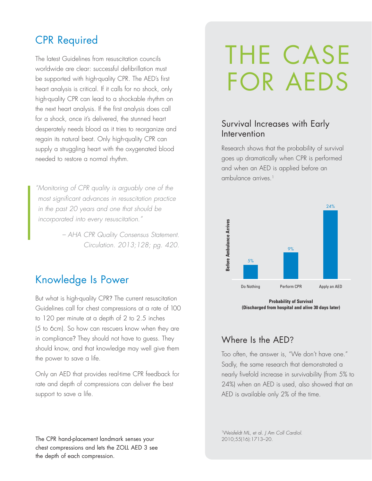#### CPR Required

The latest Guidelines from resuscitation councils worldwide are clear: successful defibrillation must be supported with high-quality CPR. The AED's first heart analysis is critical. If it calls for no shock, only high-quality CPR can lead to a shockable rhythm on the next heart analysis. If the first analysis does call for a shock, once it's delivered, the stunned heart desperately needs blood as it tries to reorganize and regain its natural beat. Only high-quality CPR can supply a struggling heart with the oxygenated blood needed to restore a normal rhythm.

*" Monitoring of CPR quality is arguably one of the most significant advances in resuscitation practice in the past 20 years and one that should be incorporated into every resuscitation."*

> *– AHA CPR Quality Consensus Statement. Circulation. 2013;128; pg. 420.*

#### Knowledge Is Power

But what is high-quality CPR? The current resuscitation Guidelines call for chest compressions at a rate of 100 to 120 per minute at a depth of 2 to 2.5 inches (5 to 6cm). So how can rescuers know when they are in compliance? They should not have to guess. They should know, and that knowledge may well give them the power to save a life.

Only an AED that provides real-time CPR feedback for rate and depth of compressions can deliver the best support to save a life.

#### The CPR hand-placement landmark senses your chest compressions and lets the ZOLL AED 3 see the depth of each compression.

# THE CASE FOR AEDS

#### Survival Increases with Early Intervention

Research shows that the probability of survival goes up dramatically when CPR is performed and when an AED is applied before an ambulance arrives.<sup>1</sup>



**Probability of Survival (Discharged from hospital and alive 30 days later)**

#### Where Is the AED?

Too often, the answer is, "We don't have one." Sadly, the same research that demonstrated a nearly fivefold increase in survivability (from 5% to 24%) when an AED is used, also showed that an AED is available only 2% of the time.

1Weisfeldt ML, et al. *J Am Coll Cardiol*. 2010;55(16):1713–20.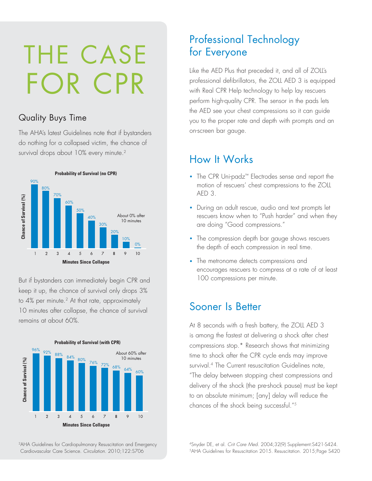# THE CASE FOR CPR

#### Quality Buys Time

The AHA's latest Guidelines note that if bystanders do nothing for a collapsed victim, the chance of survival drops about 10% every minute.<sup>2</sup>



But if bystanders can immediately begin CPR and keep it up, the chance of survival only drops 3% to 4% per minute.<sup>2</sup> At that rate, approximately 10 minutes after collapse, the chance of survival remains at about 60%.



2AHA Guidelines for Cardiopulmonary Resuscitation and Emergency Cardiovascular Care Science. *Circulation*. 2010;122:S706

### Professional Technology for Everyone

Like the AED Plus that preceded it, and all of ZOLL's professional defibrillators, the ZOLL AED 3 is equipped with Real CPR Help technology to help lay rescuers perform high-quality CPR. The sensor in the pads lets the AED see your chest compressions so it can guide you to the proper rate and depth with prompts and an on-screen bar gauge.

#### How It Works

- The CPR Uni-padz™ Electrodes sense and report the motion of rescuers' chest compressions to the ZOLL AED 3.
- During an adult rescue, audio and text prompts let rescuers know when to "Push harder" and when they are doing "Good compressions."
- The compression depth bar gauge shows rescuers the depth of each compression in real time.
- The metronome detects compressions and encourages rescuers to compress at a rate of at least 100 compressions per minute.

#### Sooner Is Better

At 8 seconds with a fresh battery, the ZOLL AED 3 is among the fastest at delivering a shock after chest compressions stop.\* Research shows that minimizing time to shock after the CPR cycle ends may improve survival.<sup>4</sup> The Current resuscitation Guidelines note, "The delay between stopping chest compressions and delivery of the shock (the pre-shock pause) must be kept to an absolute minimum; [any] delay will reduce the chances of the shock being successful."5

4 Snyder DE, et al. *Crit Care Med*. 2004;32(9) Supplement:S421-S424. 5AHA Guidelines for Resuscitation 2015. Resuscitation. 2015;Page S420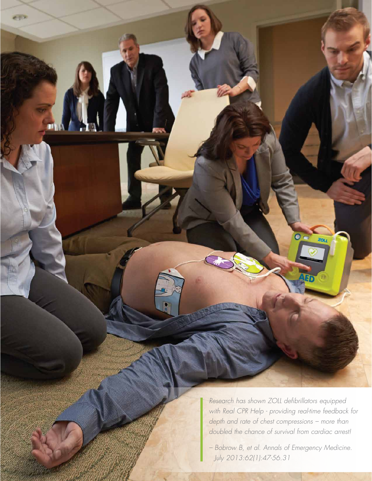*Research has shown ZOLL defibrillators equipped with Real CPR Help - providing real-time feedback for depth and rate of chest compressions – more than doubled the chance of survival from cardiac arrest!* 

e pin

*– Bobrow B, et al. Annals of Emergency Medicine. July 2013:62(1):47-56.31*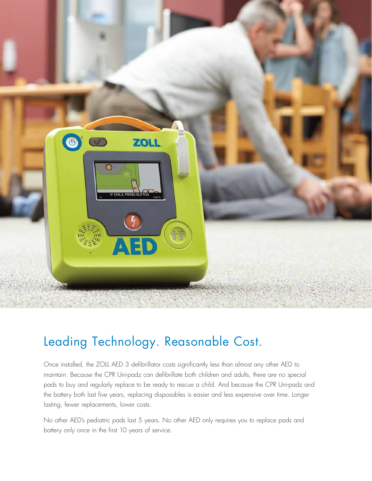

## Leading Technology. Reasonable Cost.

Once installed, the ZOLL AED 3 defibrillator costs significantly less than almost any other AED to maintain. Because the CPR Uni-padz can defibrillate both children and adults, there are no special pads to buy and regularly replace to be ready to rescue a child. And because the CPR Uni-padz and the battery both last five years, replacing disposables is easier and less expensive over time. Longer lasting, fewer replacements, lower costs.

No other AED's pediatric pads last 5 years. No other AED only requires you to replace pads and battery only once in the first 10 years of service.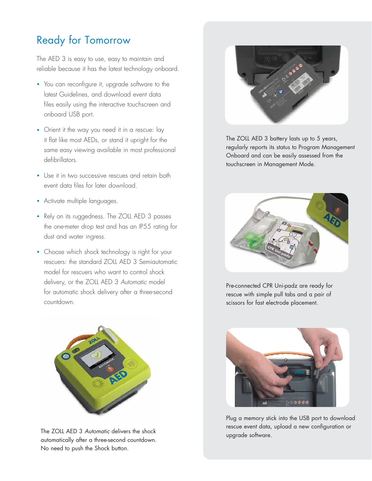## Ready for Tomorrow

The AED 3 is easy to use, easy to maintain and reliable because it has the latest technology onboard.

- You can reconfigure it, upgrade software to the latest Guidelines, and download event data files easily using the interactive touchscreen and onboard USB port.
- Orient it the way you need it in a rescue: lay it flat like most AEDs, or stand it upright for the same easy viewing available in most professional defibrillators.
- Use it in two successive rescues and retain both event data files for later download.
- Activate multiple languages.
- Rely on its ruggedness. The ZOLL AED 3 passes the one-meter drop test and has an IP55 rating for dust and water ingress.
- Choose which shock technology is right for your rescuers: the standard ZOLL AED 3 Semiautomatic model for rescuers who want to control shock delivery, or the ZOLL AED 3 *Automatic* model for automatic shock delivery after a three-second countdown.



The ZOLL AED 3 *Automatic* delivers the shock we upgrade software. automatically after a three-second countdown. No need to push the Shock button.



The ZOLL AED 3 battery lasts up to 5 years, regularly reports its status to Program Management Onboard and can be easily assessed from the touchscreen in Management Mode.



Pre-connected CPR Uni-padz are ready for rescue with simple pull tabs and a pair of scissors for fast electrode placement.



Plug a memory stick into the USB port to download rescue event data, upload a new configuration or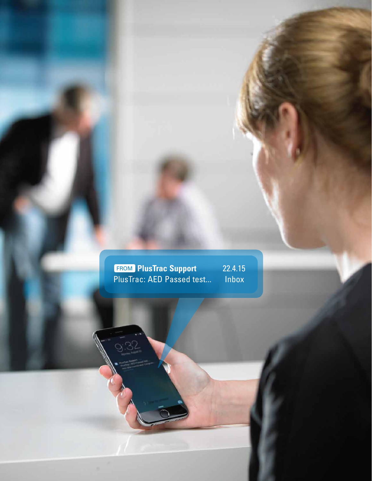**PlusTrac Support 22.4.15** PlusTrac: AED Passed test... Inbox FROM

9.32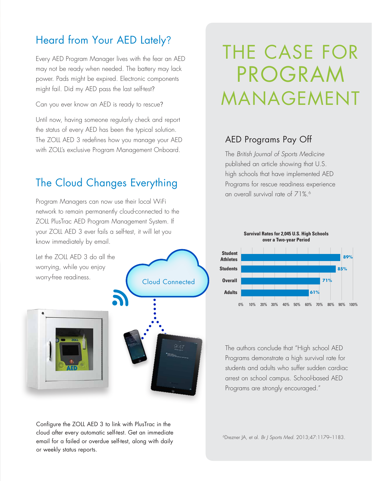### Heard from Your AED Lately?

Every AED Program Manager lives with the fear an AED may not be ready when needed. The battery may lack power. Pads might be expired. Electronic components might fail. Did my AED pass the last self-test?

Can you ever know an AED is ready to rescue?

Until now, having someone regularly check and report the status of every AED has been the typical solution. The ZOLL AED 3 redefines how you manage your AED with ZOLL's exclusive Program Management Onboard.

#### The Cloud Changes Everything

Program Managers can now use their local WiFi network to remain permanently cloud-connected to the ZOLL PlusTrac AED Program Management System. If your ZOLL AED 3 ever fails a self-test, it will let you know immediately by email.

Let the ZOLL AED 3 do all the worrying, while you enjoy worry-free readiness.



Cloud Connected

Configure the ZOLL AED 3 to link with PlusTrac in the cloud after every automatic self-test. Get an immediate email for a failed or overdue self-test, along with daily or weekly status reports.

# THE CASE FOR PROGRAM MANAGEMENT

#### AED Programs Pay Off

The *British Journal of Sports Medicine* published an article showing that U.S. high schools that have implemented AED Programs for rescue readiness experience an overall survival rate of 71%.<sup>6</sup>



The authors conclude that "High school AED Programs demonstrate a high survival rate for students and adults who suffer sudden cardiac arrest on school campus. School-based AED Programs are strongly encouraged."

6Drezner JA, et al. *Br J Sports Med.* 2013;47:1179–1183.